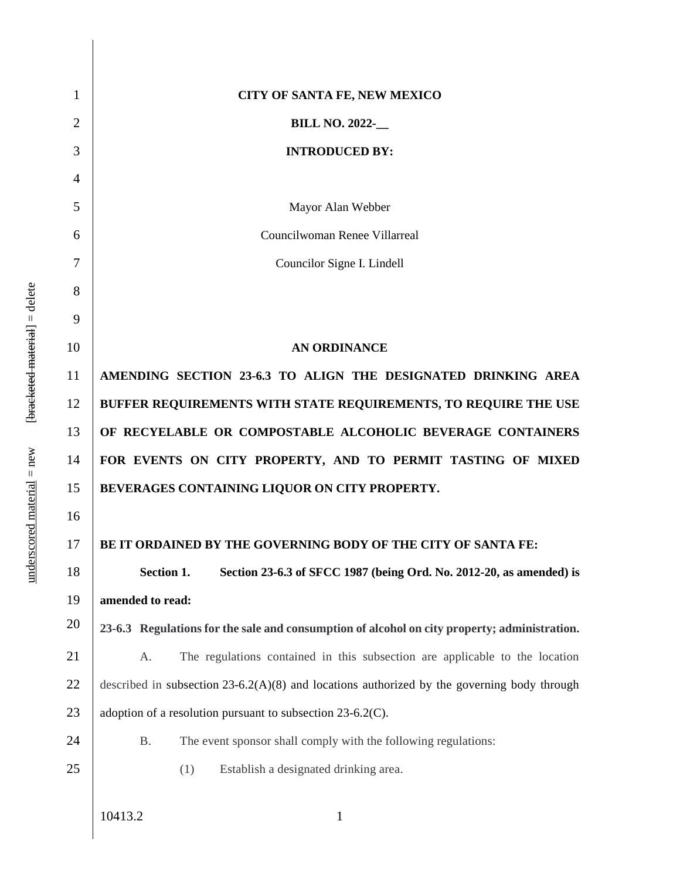| CITY OF SANTA FE, NEW MEXICO                                                                  |
|-----------------------------------------------------------------------------------------------|
| <b>BILL NO. 2022-</b>                                                                         |
| <b>INTRODUCED BY:</b>                                                                         |
|                                                                                               |
| Mayor Alan Webber                                                                             |
| Councilwoman Renee Villarreal                                                                 |
| Councilor Signe I. Lindell                                                                    |
|                                                                                               |
|                                                                                               |
| <b>AN ORDINANCE</b>                                                                           |
| AMENDING SECTION 23-6.3 TO ALIGN THE DESIGNATED DRINKING AREA                                 |
| BUFFER REQUIREMENTS WITH STATE REQUIREMENTS, TO REQUIRE THE USE                               |
| OF RECYELABLE OR COMPOSTABLE ALCOHOLIC BEVERAGE CONTAINERS                                    |
| FOR EVENTS ON CITY PROPERTY, AND TO PERMIT TASTING OF MIXED                                   |
| BEVERAGES CONTAINING LIQUOR ON CITY PROPERTY.                                                 |
|                                                                                               |
| BE IT ORDAINED BY THE GOVERNING BODY OF THE CITY OF SANTA FE:                                 |
| Section 23-6.3 of SFCC 1987 (being Ord. No. 2012-20, as amended) is<br>Section 1.             |
| amended to read:                                                                              |
| 23-6.3 Regulations for the sale and consumption of alcohol on city property; administration.  |
| The regulations contained in this subsection are applicable to the location<br>A.             |
| described in subsection $23-6.2(A)(8)$ and locations authorized by the governing body through |
| adoption of a resolution pursuant to subsection $23-6.2(C)$ .                                 |
| The event sponsor shall comply with the following regulations:<br><b>B.</b>                   |
|                                                                                               |
| (1)<br>Establish a designated drinking area.                                                  |
|                                                                                               |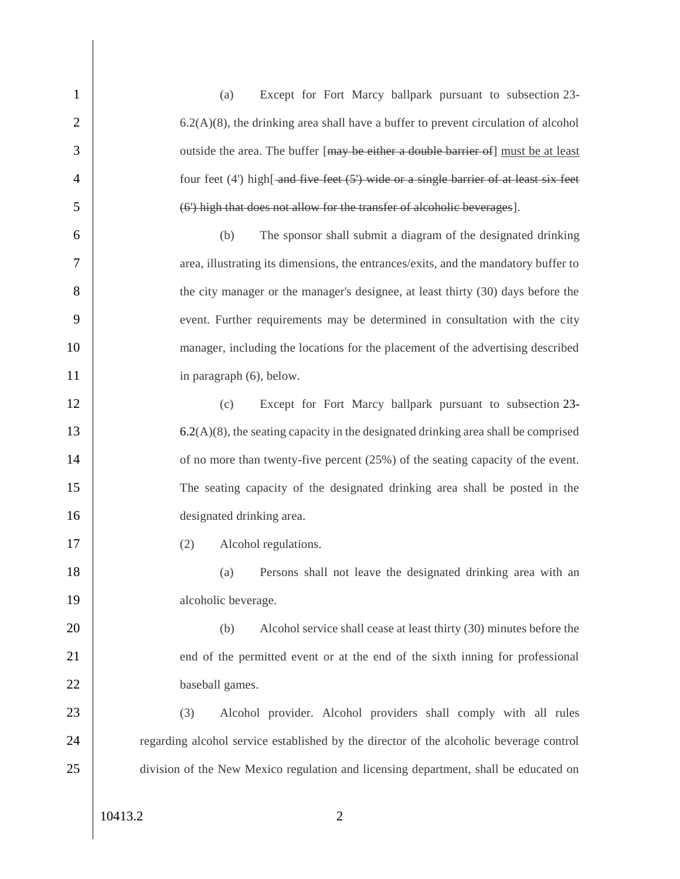1 (a) Except for Fort Marcy ballpark pursuant to subsection 23- 2 6.2(A)(8), the drinking area shall have a buffer to prevent circulation of alcohol 3 outside the area. The buffer [may be either a double barrier of] must be at least 4 four feet (4') high[ and five feet (5') wide or a single barrier of at least six feet 5 (6') high that does not allow for the transfer of alcoholic beverages]. 6 (b) The sponsor shall submit a diagram of the designated drinking 7 area, illustrating its dimensions, the entrances/exits, and the mandatory buffer to 8 the city manager or the manager's designee, at least thirty (30) days before the 9 event. Further requirements may be determined in consultation with the city 10 manager, including the locations for the placement of the advertising described 11 in paragraph (6), below. 12 (c) Except for Fort Marcy ballpark pursuant to subsection 23-  $13$  6.2(A)(8), the seating capacity in the designated drinking area shall be comprised 14 of no more than twenty-five percent (25%) of the seating capacity of the event. 15 The seating capacity of the designated drinking area shall be posted in the 16 designated drinking area. 17 (2) Alcohol regulations. 18 (a) Persons shall not leave the designated drinking area with an 19 alcoholic beverage. 20 (b) Alcohol service shall cease at least thirty (30) minutes before the 21 end of the permitted event or at the end of the sixth inning for professional 22 baseball games. 23 (3) Alcohol provider. Alcohol providers shall comply with all rules 24 regarding alcohol service established by the director of the alcoholic beverage control 25 division of the New Mexico regulation and licensing department, shall be educated on

10413.2 2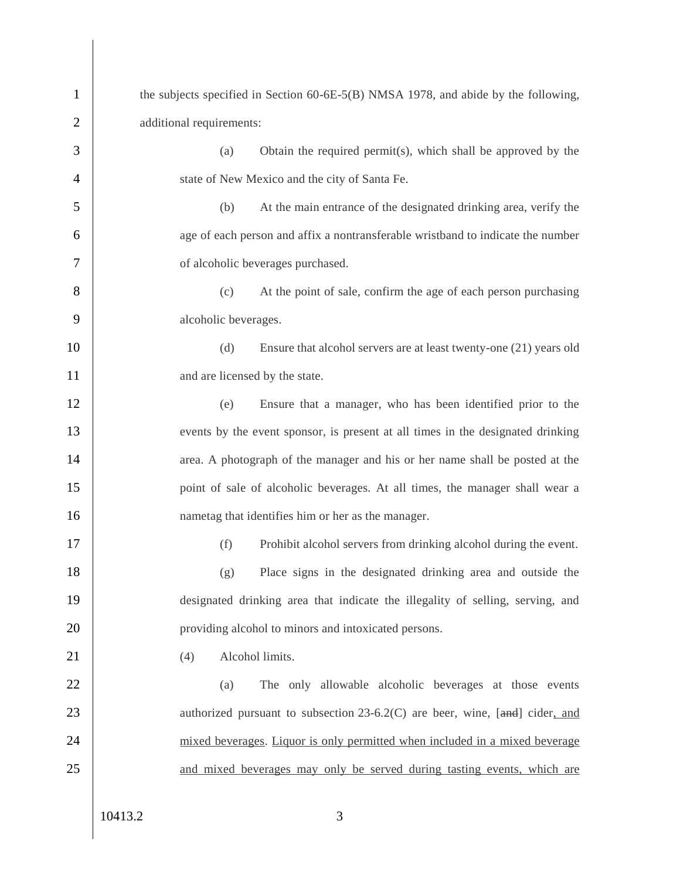10413.2 3 1 the subjects specified in Section 60-6E-5(B) NMSA 1978, and abide by the following, 2 additional requirements: 3 (a) Obtain the required permit(s), which shall be approved by the 4 State of New Mexico and the city of Santa Fe. 5 (b) At the main entrance of the designated drinking area, verify the 6 age of each person and affix a nontransferable wristband to indicate the number 7 of alcoholic beverages purchased. 8 (c) At the point of sale, confirm the age of each person purchasing 9 alcoholic beverages. 10 (d) Ensure that alcohol servers are at least twenty-one (21) years old 11 and are licensed by the state. 12 (e) Ensure that a manager, who has been identified prior to the 13 events by the event sponsor, is present at all times in the designated drinking 14 area. A photograph of the manager and his or her name shall be posted at the 15 point of sale of alcoholic beverages. At all times, the manager shall wear a 16 nametag that identifies him or her as the manager. 17 (f) Prohibit alcohol servers from drinking alcohol during the event. 18 (g) Place signs in the designated drinking area and outside the 19 designated drinking area that indicate the illegality of selling, serving, and 20 providing alcohol to minors and intoxicated persons. 21 (4) Alcohol limits. 22 (a) The only allowable alcoholic beverages at those events 23 authorized pursuant to subsection 23-6.2(C) are beer, wine, [and] cider, and 24 mixed beverages. Liquor is only permitted when included in a mixed beverage 25 and mixed beverages may only be served during tasting events, which are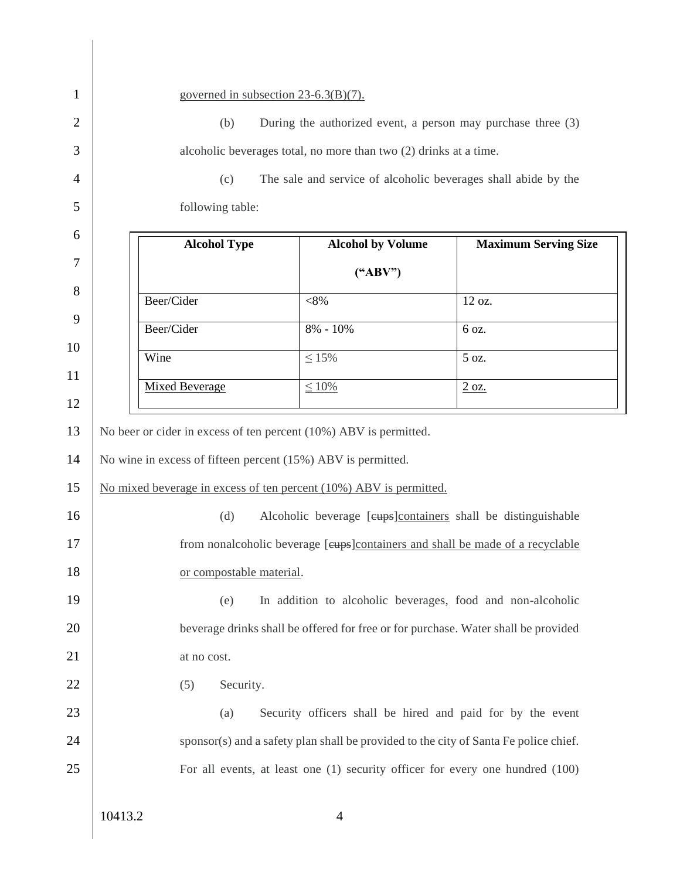| During the authorized event, a person may purchase three (3)<br>The sale and service of alcoholic beverages shall abide by the<br><b>Maximum Serving Size</b> |
|---------------------------------------------------------------------------------------------------------------------------------------------------------------|
|                                                                                                                                                               |
|                                                                                                                                                               |
|                                                                                                                                                               |
|                                                                                                                                                               |
|                                                                                                                                                               |
|                                                                                                                                                               |
|                                                                                                                                                               |
|                                                                                                                                                               |
|                                                                                                                                                               |
|                                                                                                                                                               |
|                                                                                                                                                               |
|                                                                                                                                                               |
|                                                                                                                                                               |
|                                                                                                                                                               |
| Alcoholic beverage [eups]containers shall be distinguishable                                                                                                  |
| from nonalcoholic beverage [eups]containers and shall be made of a recyclable                                                                                 |
|                                                                                                                                                               |
| In addition to alcoholic beverages, food and non-alcoholic                                                                                                    |
| beverage drinks shall be offered for free or for purchase. Water shall be provided                                                                            |
|                                                                                                                                                               |
|                                                                                                                                                               |
| Security officers shall be hired and paid for by the event                                                                                                    |
| sponsor(s) and a safety plan shall be provided to the city of Santa Fe police chief.                                                                          |
| For all events, at least one (1) security officer for every one hundred (100)                                                                                 |
|                                                                                                                                                               |
|                                                                                                                                                               |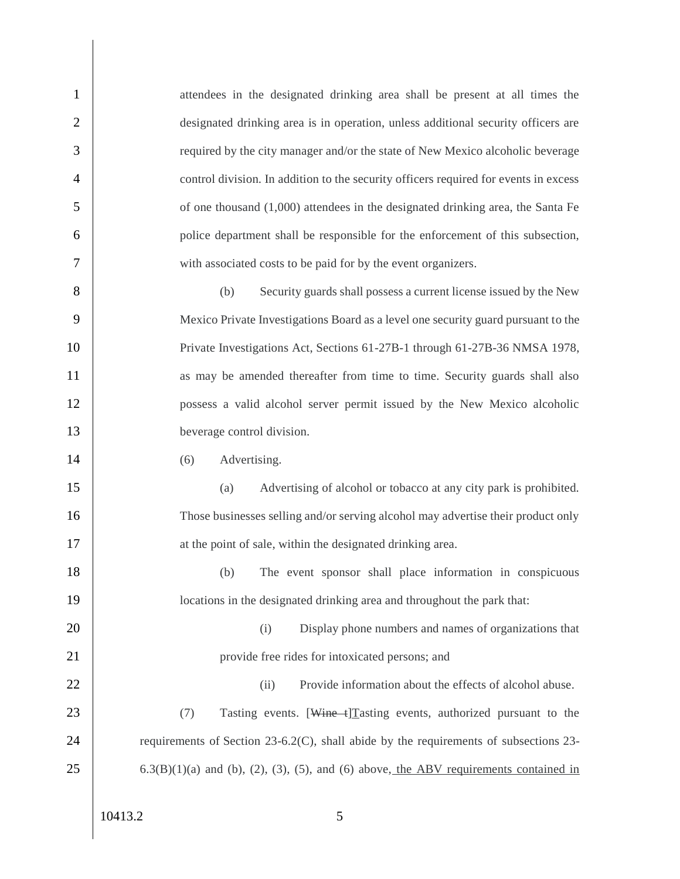attendees in the designated drinking area shall be present at all times the 2 designated drinking area is in operation, unless additional security officers are required by the city manager and/or the state of New Mexico alcoholic beverage control division. In addition to the security officers required for events in excess of one thousand (1,000) attendees in the designated drinking area, the Santa Fe police department shall be responsible for the enforcement of this subsection, with associated costs to be paid for by the event organizers.

 (b) Security guards shall possess a current license issued by the New Mexico Private Investigations Board as a level one security guard pursuant to the Private Investigations Act, Sections 61-27B-1 through 61-27B-36 NMSA 1978, 11 as may be amended thereafter from time to time. Security guards shall also possess a valid alcohol server permit issued by the New Mexico alcoholic 13 beverage control division.

14 (6) Advertising.

15 (a) Advertising of alcohol or tobacco at any city park is prohibited. 16 Those businesses selling and/or serving alcohol may advertise their product only 17 at the point of sale, within the designated drinking area.

18 (b) The event sponsor shall place information in conspicuous 19 locations in the designated drinking area and throughout the park that:

20 (i) Display phone numbers and names of organizations that 21 provide free rides for intoxicated persons; and

22 (ii) Provide information about the effects of alcohol abuse. 23 (7) Tasting events. [Wine  $\pm$ ] Tasting events, authorized pursuant to the 24 requirements of Section 23-6.2(C), shall abide by the requirements of subsections 23-25 6.3(B)(1)(a) and (b), (2), (3), (5), and (6) above, the ABV requirements contained in